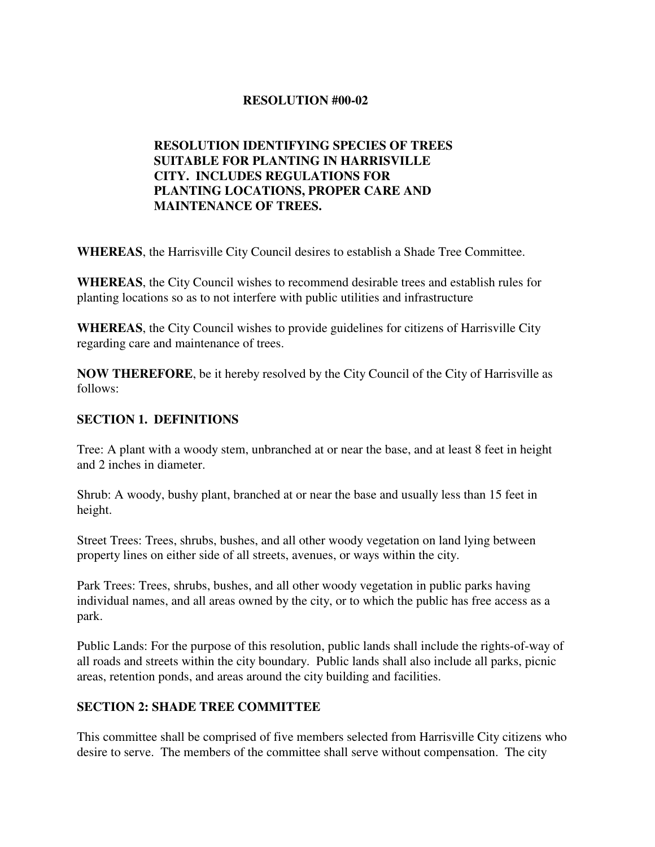# **RESOLUTION #00-02**

# **RESOLUTION IDENTIFYING SPECIES OF TREES SUITABLE FOR PLANTING IN HARRISVILLE CITY. INCLUDES REGULATIONS FOR PLANTING LOCATIONS, PROPER CARE AND MAINTENANCE OF TREES.**

**WHEREAS**, the Harrisville City Council desires to establish a Shade Tree Committee.

**WHEREAS**, the City Council wishes to recommend desirable trees and establish rules for planting locations so as to not interfere with public utilities and infrastructure

**WHEREAS**, the City Council wishes to provide guidelines for citizens of Harrisville City regarding care and maintenance of trees.

**NOW THEREFORE**, be it hereby resolved by the City Council of the City of Harrisville as follows:

#### **SECTION 1. DEFINITIONS**

Tree: A plant with a woody stem, unbranched at or near the base, and at least 8 feet in height and 2 inches in diameter.

Shrub: A woody, bushy plant, branched at or near the base and usually less than 15 feet in height.

Street Trees: Trees, shrubs, bushes, and all other woody vegetation on land lying between property lines on either side of all streets, avenues, or ways within the city.

Park Trees: Trees, shrubs, bushes, and all other woody vegetation in public parks having individual names, and all areas owned by the city, or to which the public has free access as a park.

Public Lands: For the purpose of this resolution, public lands shall include the rights-of-way of all roads and streets within the city boundary. Public lands shall also include all parks, picnic areas, retention ponds, and areas around the city building and facilities.

#### **SECTION 2: SHADE TREE COMMITTEE**

This committee shall be comprised of five members selected from Harrisville City citizens who desire to serve. The members of the committee shall serve without compensation. The city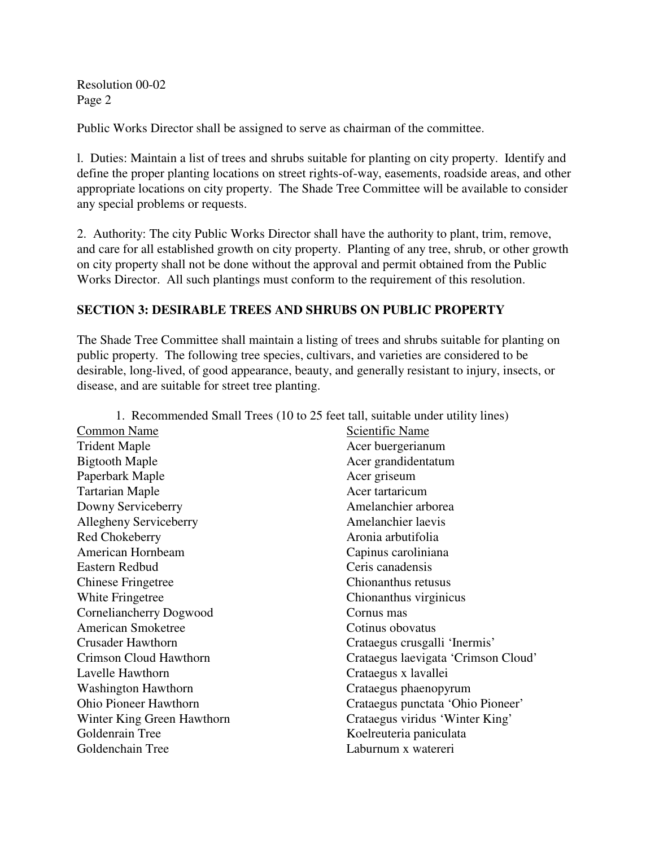Public Works Director shall be assigned to serve as chairman of the committee.

l. Duties: Maintain a list of trees and shrubs suitable for planting on city property. Identify and define the proper planting locations on street rights-of-way, easements, roadside areas, and other appropriate locations on city property. The Shade Tree Committee will be available to consider any special problems or requests.

2. Authority: The city Public Works Director shall have the authority to plant, trim, remove, and care for all established growth on city property. Planting of any tree, shrub, or other growth on city property shall not be done without the approval and permit obtained from the Public Works Director. All such plantings must conform to the requirement of this resolution.

#### **SECTION 3: DESIRABLE TREES AND SHRUBS ON PUBLIC PROPERTY**

The Shade Tree Committee shall maintain a listing of trees and shrubs suitable for planting on public property. The following tree species, cultivars, and varieties are considered to be desirable, long-lived, of good appearance, beauty, and generally resistant to injury, insects, or disease, and are suitable for street tree planting.

| 1. Recommended Small Trees (10 to 25 feet tall, suitable under utility lines) |  |
|-------------------------------------------------------------------------------|--|
| Scientific Name                                                               |  |
| Acer buergerianum                                                             |  |
| Acer grandidentatum                                                           |  |
| Acer griseum                                                                  |  |
| Acer tartaricum                                                               |  |
| Amelanchier arborea                                                           |  |
| Amelanchier laevis                                                            |  |
| Aronia arbutifolia                                                            |  |
| Capinus caroliniana                                                           |  |
| Ceris canadensis                                                              |  |
| Chionanthus retusus                                                           |  |
| Chionanthus virginicus                                                        |  |
| Cornus mas                                                                    |  |
| Cotinus obovatus                                                              |  |
| Crataegus crusgalli 'Inermis'                                                 |  |
| Crataegus laevigata 'Crimson Cloud'                                           |  |
| Crataegus x lavallei                                                          |  |
| Crataegus phaenopyrum                                                         |  |
| Crataegus punctata 'Ohio Pioneer'                                             |  |
| Crataegus viridus 'Winter King'                                               |  |
| Koelreuteria paniculata                                                       |  |
| Laburnum x watereri                                                           |  |
|                                                                               |  |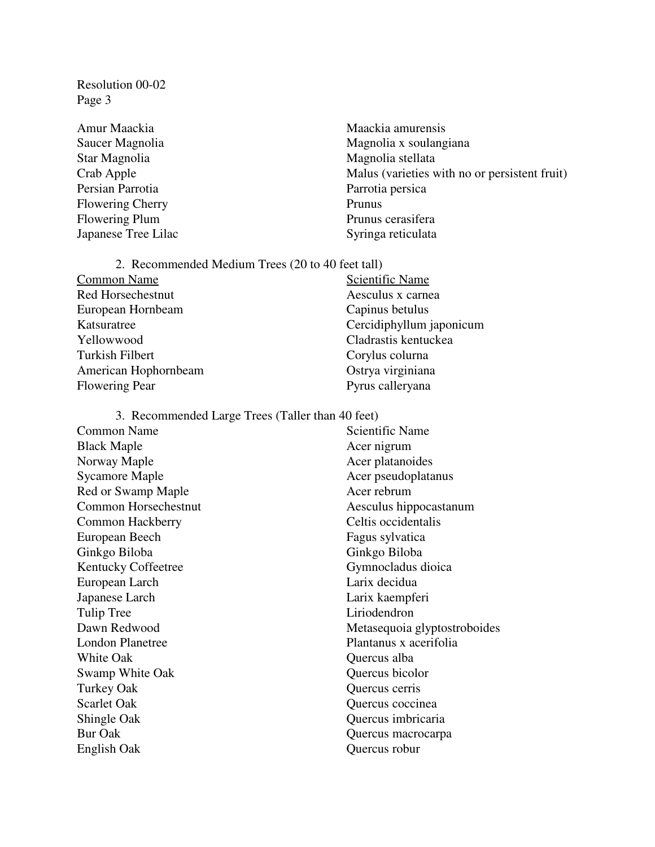- Star Magnolia **Magnolia** Magnolia stellata Persian Parrotia Parrotia persica Flowering Cherry Prunus Flowering Plum Prunus cerasifera Japanese Tree Lilac Syringa reticulata
- Amur Maackia murensis Maackia amurensis Saucer Magnolia menyebabkan mengenaikan mengenaikan mengenaikan mengenaikan ke mengenaikan mengenaikan ke menge Crab Apple Malus (varieties with no or persistent fruit)

2. Recommended Medium Trees (20 to 40 feet tall) Common Name Scientific Name Red Horsechestnut Aesculus x carnea European Hornbeam Capinus betulus Katsuratree Cercidiphyllum japonicum Yellowwood Cladrastis kentuckea Turkish Filbert Corylus colurna American Hophornbeam Ostrya virginiana Flowering Pear Pyrus calleryana

3. Recommended Large Trees (Taller than 40 feet) Common Name Scientific Name Black Maple **Acer** nigrum Norway Maple **Acer platanoides** Acer platanoides Sycamore Maple **Acer pseudoplatanus** Acer pseudoplatanus Red or Swamp Maple Acer rebrum Common Horsechestnut Aesculus hippocastanum Common Hackberry Celtis occidentalis European Beech Fagus sylvatica Ginkgo Biloba Ginkgo Biloba Kentucky Coffeetree Gymnocladus dioica European Larch Larix decidua Japanese Larch Larix kaempferi Tulip Tree Liriodendron Dawn Redwood Metasequoia glyptostroboides London Planetree Plantanus x acerifolia White Oak **Quercus** alba Swamp White Oak Quercus bicolor Turkey Oak Quercus cerris Scarlet Oak Quercus coccinea Shingle Oak Quercus imbricaria Bur Oak Quercus macrocarpa English Oak Quercus robur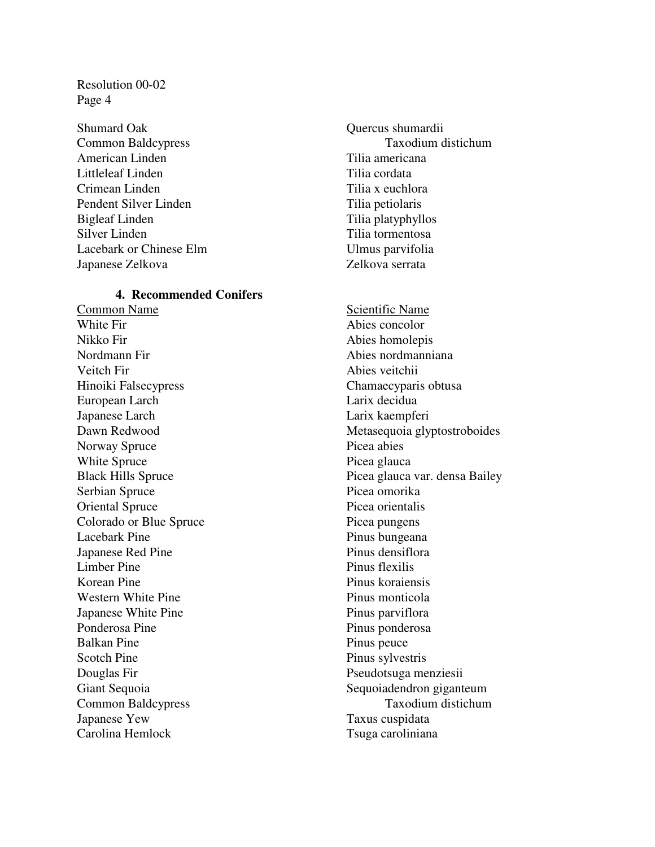Shumard Oak Quercus shumardii American Linden Tilia americana Littleleaf Linden Tilia cordata Crimean Linden Tilia x euchlora Pendent Silver Linden Tilia petiolaris Bigleaf Linden Tilia platyphyllos Silver Linden Tilia tormentosa Lacebark or Chinese Elm Ulmus parvifolia Japanese Zelkova Zelkova serrata

#### **4. Recommended Conifers**

Common Name<br>White Fir<br>Noise concolor Nikko Fir Abies homolepis Nordmann Fir Abies nordmanniana Veitch Fir Abies veitchii Hinoiki Falsecypress Chamaecyparis obtusa European Larch Larix decidua Japanese Larch Larix kaempferi Norway Spruce Picea abies White Spruce Picea glauca Serbian Spruce Picea omorika Oriental Spruce Picea orientalis Colorado or Blue Spruce Picea pungens Lacebark Pine Pinus bungeana Japanese Red Pine Pinus densiflora Limber Pine Pinus flexilis Korean Pine Pinus koraiensis Western White Pine Pinus monticola Japanese White Pine Pinus parviflora Ponderosa Pine Pinus ponderosa Balkan Pine Pinus peuce Scotch Pine Pinus sylvestris Douglas Fir Pseudotsuga menziesii Japanese Yew Taxus cuspidata Carolina Hemlock Tsuga caroliniana

Common Baldcypress Taxodium distichum

Abies concolor Dawn Redwood Metasequoia glyptostroboides Black Hills Spruce Picea glauca var. densa Bailey Giant Sequoia Sequoiadendron giganteum Common Baldcypress Taxodium distichum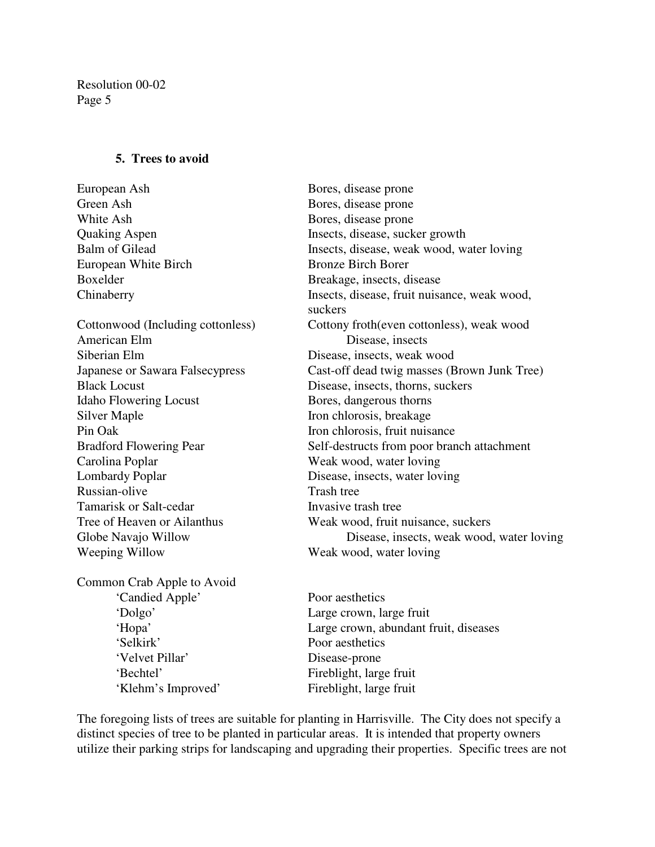#### **5. Trees to avoid**

European Ash Bores, disease prone Green Ash Bores, disease prone White Ash Bores, disease prone Quaking Aspen Insects, disease, sucker growth Balm of Gilead Insects, disease, weak wood, water loving European White Birch Bronze Birch Borer Boxelder Breakage, insects, disease Chinaberry Insects, disease, fruit nuisance, weak wood, suckers Cottonwood (Including cottonless) Cottony froth(even cottonless), weak wood American Elm Disease, insects Siberian Elm Disease, insects, weak wood Japanese or Sawara Falsecypress Cast-off dead twig masses (Brown Junk Tree) Black Locust Disease, insects, thorns, suckers Idaho Flowering Locust Bores, dangerous thorns Silver Maple Iron chlorosis, breakage Pin Oak Iron chlorosis, fruit nuisance Bradford Flowering Pear Self-destructs from poor branch attachment Carolina Poplar Weak wood, water loving Lombardy Poplar Disease, insects, water loving Russian-olive Trash tree Tamarisk or Salt-cedar Invasive trash tree Tree of Heaven or Ailanthus Weak wood, fruit nuisance, suckers Globe Navajo Willow Disease, insects, weak wood, water loving Weeping Willow Weak wood, water loving Common Crab Apple to Avoid 'Candied Apple' Poor aesthetics 'Dolgo' Large crown, large fruit

'Selkirk' Poor aesthetics 'Velvet Pillar' Disease-prone 'Bechtel' Fireblight, large fruit 'Klehm's Improved' Fireblight, large fruit

'Hopa' Large crown, abundant fruit, diseases

The foregoing lists of trees are suitable for planting in Harrisville. The City does not specify a distinct species of tree to be planted in particular areas. It is intended that property owners utilize their parking strips for landscaping and upgrading their properties. Specific trees are not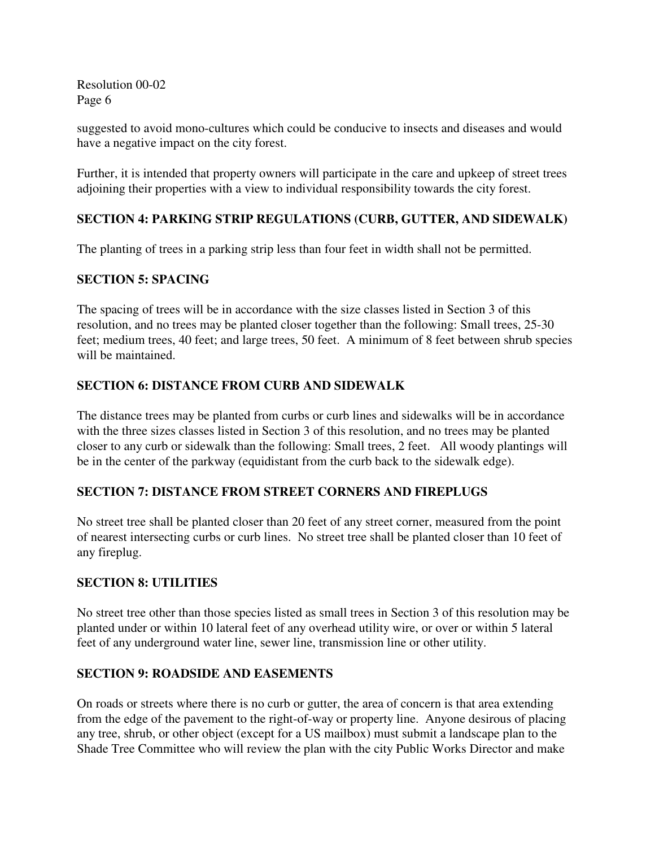suggested to avoid mono-cultures which could be conducive to insects and diseases and would have a negative impact on the city forest.

Further, it is intended that property owners will participate in the care and upkeep of street trees adjoining their properties with a view to individual responsibility towards the city forest.

# **SECTION 4: PARKING STRIP REGULATIONS (CURB, GUTTER, AND SIDEWALK)**

The planting of trees in a parking strip less than four feet in width shall not be permitted.

# **SECTION 5: SPACING**

The spacing of trees will be in accordance with the size classes listed in Section 3 of this resolution, and no trees may be planted closer together than the following: Small trees, 25-30 feet; medium trees, 40 feet; and large trees, 50 feet. A minimum of 8 feet between shrub species will be maintained.

# **SECTION 6: DISTANCE FROM CURB AND SIDEWALK**

The distance trees may be planted from curbs or curb lines and sidewalks will be in accordance with the three sizes classes listed in Section 3 of this resolution, and no trees may be planted closer to any curb or sidewalk than the following: Small trees, 2 feet. All woody plantings will be in the center of the parkway (equidistant from the curb back to the sidewalk edge).

## **SECTION 7: DISTANCE FROM STREET CORNERS AND FIREPLUGS**

No street tree shall be planted closer than 20 feet of any street corner, measured from the point of nearest intersecting curbs or curb lines. No street tree shall be planted closer than 10 feet of any fireplug.

## **SECTION 8: UTILITIES**

No street tree other than those species listed as small trees in Section 3 of this resolution may be planted under or within 10 lateral feet of any overhead utility wire, or over or within 5 lateral feet of any underground water line, sewer line, transmission line or other utility.

## **SECTION 9: ROADSIDE AND EASEMENTS**

On roads or streets where there is no curb or gutter, the area of concern is that area extending from the edge of the pavement to the right-of-way or property line. Anyone desirous of placing any tree, shrub, or other object (except for a US mailbox) must submit a landscape plan to the Shade Tree Committee who will review the plan with the city Public Works Director and make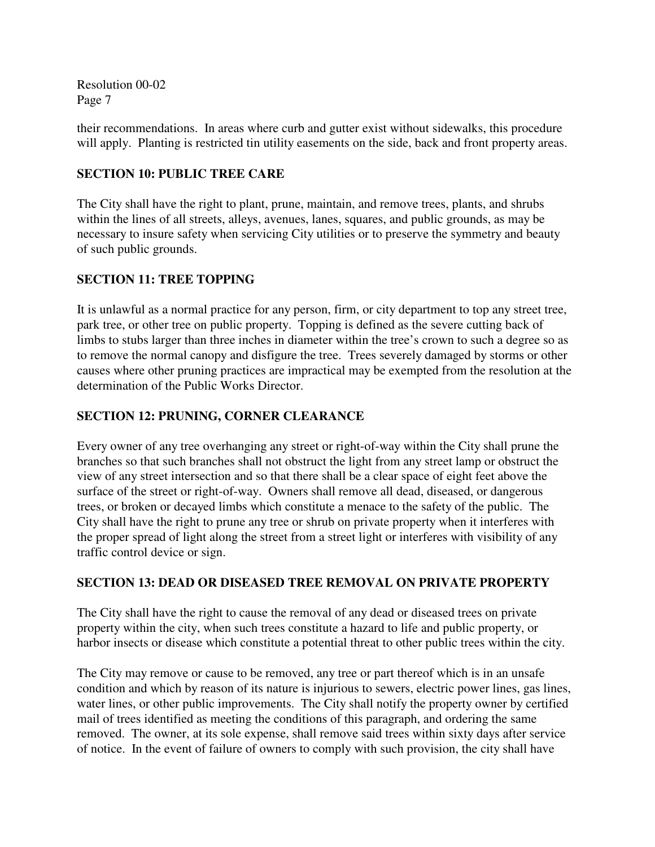their recommendations. In areas where curb and gutter exist without sidewalks, this procedure will apply. Planting is restricted tin utility easements on the side, back and front property areas.

# **SECTION 10: PUBLIC TREE CARE**

The City shall have the right to plant, prune, maintain, and remove trees, plants, and shrubs within the lines of all streets, alleys, avenues, lanes, squares, and public grounds, as may be necessary to insure safety when servicing City utilities or to preserve the symmetry and beauty of such public grounds.

# **SECTION 11: TREE TOPPING**

It is unlawful as a normal practice for any person, firm, or city department to top any street tree, park tree, or other tree on public property. Topping is defined as the severe cutting back of limbs to stubs larger than three inches in diameter within the tree's crown to such a degree so as to remove the normal canopy and disfigure the tree. Trees severely damaged by storms or other causes where other pruning practices are impractical may be exempted from the resolution at the determination of the Public Works Director.

# **SECTION 12: PRUNING, CORNER CLEARANCE**

Every owner of any tree overhanging any street or right-of-way within the City shall prune the branches so that such branches shall not obstruct the light from any street lamp or obstruct the view of any street intersection and so that there shall be a clear space of eight feet above the surface of the street or right-of-way. Owners shall remove all dead, diseased, or dangerous trees, or broken or decayed limbs which constitute a menace to the safety of the public. The City shall have the right to prune any tree or shrub on private property when it interferes with the proper spread of light along the street from a street light or interferes with visibility of any traffic control device or sign.

## **SECTION 13: DEAD OR DISEASED TREE REMOVAL ON PRIVATE PROPERTY**

The City shall have the right to cause the removal of any dead or diseased trees on private property within the city, when such trees constitute a hazard to life and public property, or harbor insects or disease which constitute a potential threat to other public trees within the city.

The City may remove or cause to be removed, any tree or part thereof which is in an unsafe condition and which by reason of its nature is injurious to sewers, electric power lines, gas lines, water lines, or other public improvements. The City shall notify the property owner by certified mail of trees identified as meeting the conditions of this paragraph, and ordering the same removed. The owner, at its sole expense, shall remove said trees within sixty days after service of notice. In the event of failure of owners to comply with such provision, the city shall have